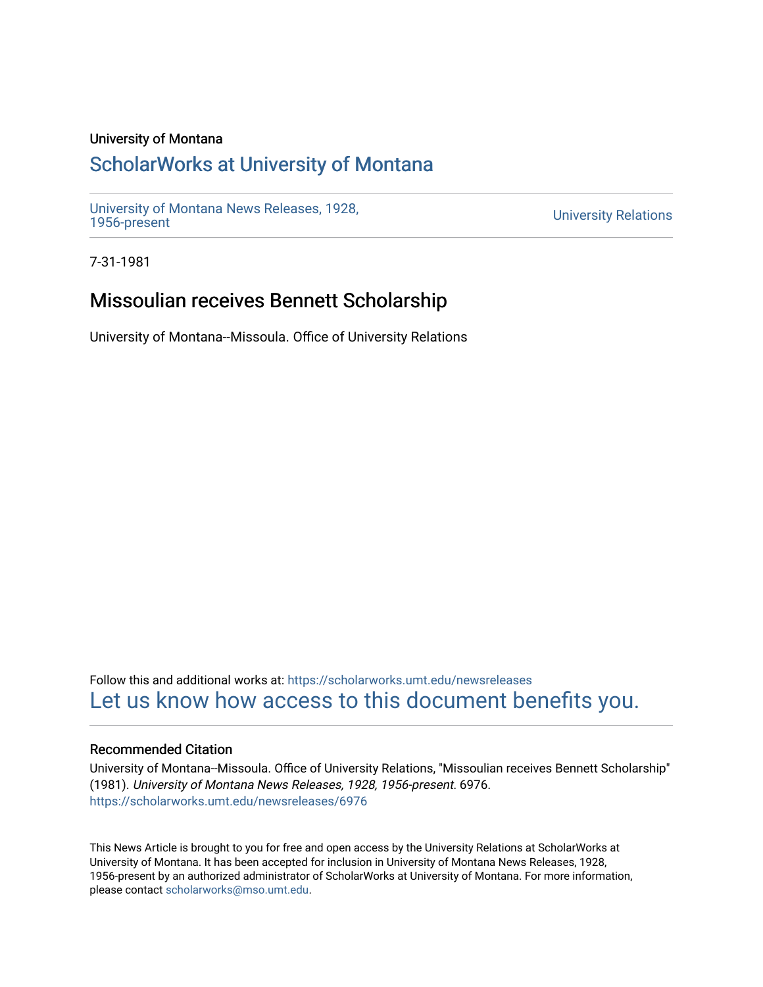## University of Montana

## [ScholarWorks at University of Montana](https://scholarworks.umt.edu/)

[University of Montana News Releases, 1928,](https://scholarworks.umt.edu/newsreleases) 

**University Relations** 

7-31-1981

## Missoulian receives Bennett Scholarship

University of Montana--Missoula. Office of University Relations

Follow this and additional works at: [https://scholarworks.umt.edu/newsreleases](https://scholarworks.umt.edu/newsreleases?utm_source=scholarworks.umt.edu%2Fnewsreleases%2F6976&utm_medium=PDF&utm_campaign=PDFCoverPages) [Let us know how access to this document benefits you.](https://goo.gl/forms/s2rGfXOLzz71qgsB2) 

## Recommended Citation

University of Montana--Missoula. Office of University Relations, "Missoulian receives Bennett Scholarship" (1981). University of Montana News Releases, 1928, 1956-present. 6976. [https://scholarworks.umt.edu/newsreleases/6976](https://scholarworks.umt.edu/newsreleases/6976?utm_source=scholarworks.umt.edu%2Fnewsreleases%2F6976&utm_medium=PDF&utm_campaign=PDFCoverPages) 

This News Article is brought to you for free and open access by the University Relations at ScholarWorks at University of Montana. It has been accepted for inclusion in University of Montana News Releases, 1928, 1956-present by an authorized administrator of ScholarWorks at University of Montana. For more information, please contact [scholarworks@mso.umt.edu.](mailto:scholarworks@mso.umt.edu)